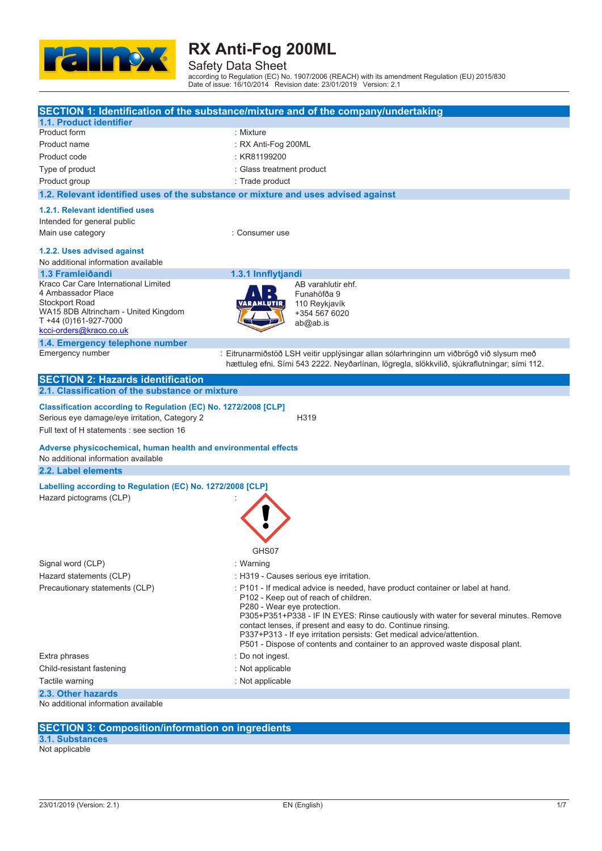

Safety Data Sheet according to Regulation (EC) No. 1907/2006 (REACH) with its amendment Regulation (EU) 2015/830 Date of issue: 16/10/2014 Revision date: 23/01/2019 Version: 2.1

|                                                                                                        | SECTION 1: Identification of the substance/mixture and of the company/undertaking            |
|--------------------------------------------------------------------------------------------------------|----------------------------------------------------------------------------------------------|
| <b>1.1. Product identifier</b>                                                                         |                                                                                              |
| Product form                                                                                           | : Mixture                                                                                    |
| Product name                                                                                           | : RX Anti-Fog 200ML                                                                          |
| Product code                                                                                           | : KR81199200                                                                                 |
| Type of product                                                                                        | : Glass treatment product                                                                    |
| Product group                                                                                          | : Trade product                                                                              |
| 1.2. Relevant identified uses of the substance or mixture and uses advised against                     |                                                                                              |
| 1.2.1. Relevant identified uses                                                                        |                                                                                              |
| Intended for general public                                                                            |                                                                                              |
| Main use category                                                                                      | : Consumer use                                                                               |
| 1.2.2. Uses advised against                                                                            |                                                                                              |
| No additional information available                                                                    |                                                                                              |
| 1.3 Framleiðandi                                                                                       | 1.3.1 Innflytjandi                                                                           |
| Kraco Car Care International Limited                                                                   | AB varahlutir ehf.                                                                           |
| 4 Ambassador Place                                                                                     | Funahöfða 9                                                                                  |
| <b>Stockport Road</b>                                                                                  | 110 Reykjavík                                                                                |
| WA15 8DB Altrincham - United Kingdom<br>T +44 (0)161-927-7000                                          | +354 567 6020                                                                                |
| kcci-orders@kraco.co.uk                                                                                | ab@ab.is                                                                                     |
| 1.4. Emergency telephone number                                                                        |                                                                                              |
| Emergency number                                                                                       | : Eitrunarmiðstöð LSH veitir upplýsingar allan sólarhringinn um viðbrögð við slysum með      |
|                                                                                                        | hættuleg efni. Sími 543 2222. Neyðarlínan, lögregla, slökkvilið, sjúkraflutningar; sími 112. |
| <b>SECTION 2: Hazards identification</b>                                                               |                                                                                              |
| 2.1. Classification of the substance or mixture                                                        |                                                                                              |
| Classification according to Regulation (EC) No. 1272/2008 [CLP]                                        |                                                                                              |
| Serious eye damage/eye irritation, Category 2                                                          | H319                                                                                         |
| Full text of H statements : see section 16                                                             |                                                                                              |
|                                                                                                        |                                                                                              |
| Adverse physicochemical, human health and environmental effects<br>No additional information available |                                                                                              |
| 2.2. Label elements                                                                                    |                                                                                              |
|                                                                                                        |                                                                                              |
| Labelling according to Regulation (EC) No. 1272/2008 [CLP]                                             |                                                                                              |
| Hazard pictograms (CLP)                                                                                |                                                                                              |
|                                                                                                        |                                                                                              |
|                                                                                                        |                                                                                              |
|                                                                                                        |                                                                                              |
|                                                                                                        | GHS07                                                                                        |
|                                                                                                        |                                                                                              |
| Signal word (CLP)                                                                                      | : Warning                                                                                    |
| Hazard statements (CLP)                                                                                | : H319 - Causes serious eye irritation.                                                      |
| Precautionary statements (CLP)                                                                         | : P101 - If medical advice is needed, have product container or label at hand.               |
|                                                                                                        | P102 - Keep out of reach of children.<br>P280 - Wear eye protection.                         |
|                                                                                                        | P305+P351+P338 - IF IN EYES: Rinse cautiously with water for several minutes. Remove         |
|                                                                                                        | contact lenses, if present and easy to do. Continue rinsing.                                 |
|                                                                                                        | P337+P313 - If eye irritation persists: Get medical advice/attention.                        |
|                                                                                                        | P501 - Dispose of contents and container to an approved waste disposal plant.                |
| Extra phrases                                                                                          | : Do not ingest.                                                                             |
| Child-resistant fastening                                                                              | : Not applicable                                                                             |
| Tactile warning                                                                                        | : Not applicable                                                                             |
| 2.3. Other hazards                                                                                     |                                                                                              |
| No additional information available                                                                    |                                                                                              |
|                                                                                                        |                                                                                              |
| <b>SECTION 3: Composition/information on ingredients</b>                                               |                                                                                              |
| 3.1. Substances                                                                                        |                                                                                              |

Not applicable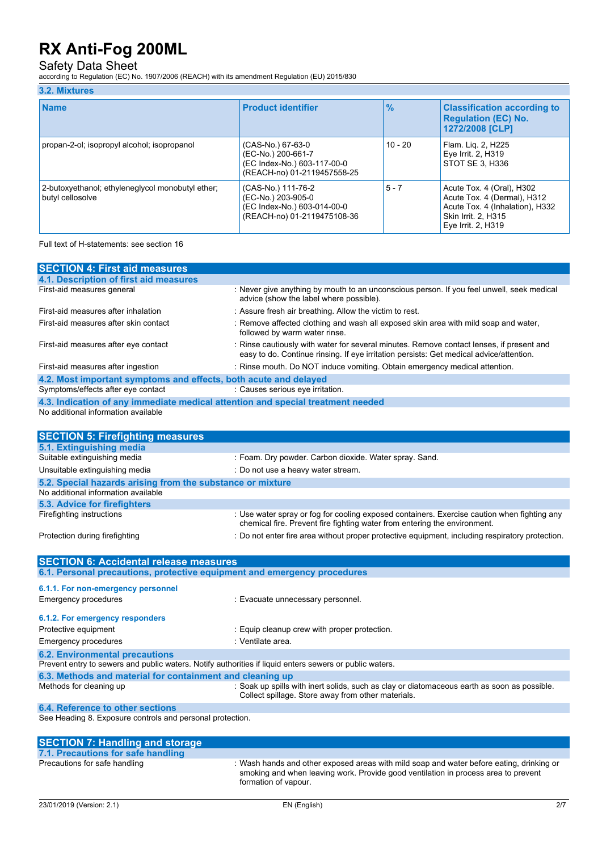Safety Data Sheet according to Regulation (EC) No. 1907/2006 (REACH) with its amendment Regulation (EU) 2015/830

| 3.2. Mixtures                                                        |                                                                                                        |               |                                                                                                                                          |
|----------------------------------------------------------------------|--------------------------------------------------------------------------------------------------------|---------------|------------------------------------------------------------------------------------------------------------------------------------------|
| <b>Name</b>                                                          | <b>Product identifier</b>                                                                              | $\frac{9}{6}$ | <b>Classification according to</b><br><b>Regulation (EC) No.</b><br>1272/2008 [CLP]                                                      |
| propan-2-ol; isopropyl alcohol; isopropanol                          | (CAS-No.) 67-63-0<br>(EC-No.) 200-661-7<br>(EC Index-No.) 603-117-00-0<br>(REACH-no) 01-2119457558-25  | $10 - 20$     | Flam. Lig. 2, H225<br>Eye Irrit. 2, H319<br>STOT SE 3. H336                                                                              |
| 2-butoxyethanol; ethyleneglycol monobutyl ether;<br>butyl cellosolve | (CAS-No.) 111-76-2<br>(EC-No.) 203-905-0<br>(EC Index-No.) 603-014-00-0<br>(REACH-no) 01-2119475108-36 | $5 - 7$       | Acute Tox. 4 (Oral), H302<br>Acute Tox. 4 (Dermal), H312<br>Acute Tox. 4 (Inhalation), H332<br>Skin Irrit. 2, H315<br>Eye Irrit. 2, H319 |

Full text of H-statements: see section 16

| <b>SECTION 4: First aid measures</b>                                                                    |                                                                                                                                                                                     |
|---------------------------------------------------------------------------------------------------------|-------------------------------------------------------------------------------------------------------------------------------------------------------------------------------------|
| 4.1. Description of first aid measures                                                                  |                                                                                                                                                                                     |
| First-aid measures general                                                                              | : Never give anything by mouth to an unconscious person. If you feel unwell, seek medical<br>advice (show the label where possible).                                                |
| First-aid measures after inhalation                                                                     | : Assure fresh air breathing. Allow the victim to rest.                                                                                                                             |
| First-aid measures after skin contact                                                                   | : Remove affected clothing and wash all exposed skin area with mild soap and water,<br>followed by warm water rinse.                                                                |
| First-aid measures after eye contact                                                                    | : Rinse cautiously with water for several minutes. Remove contact lenses, if present and<br>easy to do. Continue rinsing. If eye irritation persists: Get medical advice/attention. |
| First-aid measures after ingestion                                                                      | : Rinse mouth. Do NOT induce vomiting. Obtain emergency medical attention.                                                                                                          |
| 4.2. Most important symptoms and effects, both acute and delayed                                        |                                                                                                                                                                                     |
| Symptoms/effects after eye contact                                                                      | : Causes serious eye irritation.                                                                                                                                                    |
| 4.3. Indication of any immediate medical attention and special treatment needed                         |                                                                                                                                                                                     |
| No additional information available                                                                     |                                                                                                                                                                                     |
|                                                                                                         |                                                                                                                                                                                     |
| <b>SECTION 5: Firefighting measures</b>                                                                 |                                                                                                                                                                                     |
| 5.1. Extinguishing media                                                                                |                                                                                                                                                                                     |
| Suitable extinguishing media                                                                            | : Foam. Dry powder. Carbon dioxide. Water spray. Sand.                                                                                                                              |
| Unsuitable extinguishing media                                                                          | : Do not use a heavy water stream.                                                                                                                                                  |
| 5.2. Special hazards arising from the substance or mixture                                              |                                                                                                                                                                                     |
| No additional information available                                                                     |                                                                                                                                                                                     |
| 5.3. Advice for firefighters                                                                            |                                                                                                                                                                                     |
| Firefighting instructions                                                                               | : Use water spray or fog for cooling exposed containers. Exercise caution when fighting any<br>chemical fire. Prevent fire fighting water from entering the environment.            |
| Protection during firefighting                                                                          | : Do not enter fire area without proper protective equipment, including respiratory protection.                                                                                     |
|                                                                                                         |                                                                                                                                                                                     |
| <b>SECTION 6: Accidental release measures</b>                                                           |                                                                                                                                                                                     |
| 6.1. Personal precautions, protective equipment and emergency procedures                                |                                                                                                                                                                                     |
|                                                                                                         |                                                                                                                                                                                     |
| 6.1.1. For non-emergency personnel                                                                      |                                                                                                                                                                                     |
| <b>Emergency procedures</b>                                                                             | : Evacuate unnecessary personnel.                                                                                                                                                   |
| 6.1.2. For emergency responders                                                                         |                                                                                                                                                                                     |
| Protective equipment                                                                                    | : Equip cleanup crew with proper protection.                                                                                                                                        |
| <b>Emergency procedures</b>                                                                             | Ventilate area.                                                                                                                                                                     |
| <b>6.2. Environmental precautions</b>                                                                   |                                                                                                                                                                                     |
| Prevent entry to sewers and public waters. Notify authorities if liquid enters sewers or public waters. |                                                                                                                                                                                     |
| 6.3. Methods and material for containment and cleaning up                                               |                                                                                                                                                                                     |
| Methods for cleaning up                                                                                 | : Soak up spills with inert solids, such as clay or diatomaceous earth as soon as possible.<br>Collect spillage. Store away from other materials.                                   |
| 6.4. Reference to other sections                                                                        |                                                                                                                                                                                     |
| See Heading 8. Exposure controls and personal protection.                                               |                                                                                                                                                                                     |
|                                                                                                         |                                                                                                                                                                                     |

## **SECTION 7: Handling and storage 7.1. Precautions for safe handling**

| Precautions for safe handling | : Wash hands and other exposed areas with mild soap and water before eating, drinking or |
|-------------------------------|------------------------------------------------------------------------------------------|
|                               | smoking and when leaving work. Provide good ventilation in process area to prevent       |
|                               | formation of vapour.                                                                     |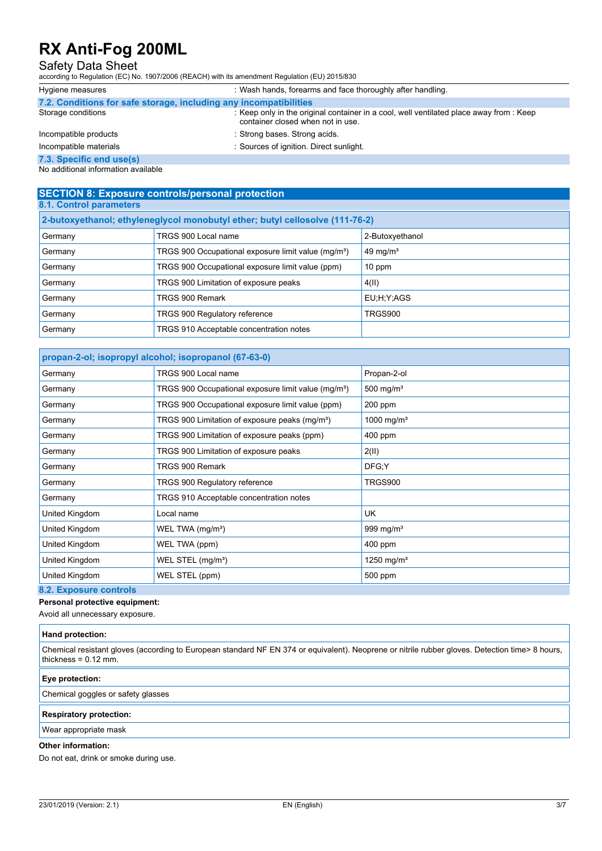### Safety Data Sheet

according to Regulation (EC) No. 1907/2006 (REACH) with its amendment Regulation (EU) 2015/830

| Hygiene measures                                                  | : Wash hands, forearms and face thoroughly after handling.                                                                   |
|-------------------------------------------------------------------|------------------------------------------------------------------------------------------------------------------------------|
| 7.2. Conditions for safe storage, including any incompatibilities |                                                                                                                              |
| Storage conditions                                                | : Keep only in the original container in a cool, well ventilated place away from : Keep<br>container closed when not in use. |
| Incompatible products                                             | : Strong bases. Strong acids.                                                                                                |
| Incompatible materials                                            | : Sources of ignition. Direct sunlight.                                                                                      |
| 7.3. Specific end use(s)                                          |                                                                                                                              |

No additional information available

### **SECTION 8: Exposure controls/personal protection 8.1. Control parameters**

| 2-butoxyethanol; ethyleneglycol monobutyl ether; butyl cellosolve (111-76-2) |                                                                 |                      |
|------------------------------------------------------------------------------|-----------------------------------------------------------------|----------------------|
| Germany                                                                      | TRGS 900 Local name                                             | 2-Butoxyethanol      |
| Germany                                                                      | TRGS 900 Occupational exposure limit value (mg/m <sup>3</sup> ) | 49 mg/m <sup>3</sup> |
| Germany                                                                      | TRGS 900 Occupational exposure limit value (ppm)                | 10 ppm               |
| Germany                                                                      | TRGS 900 Limitation of exposure peaks                           | 4(II)                |
| Germany                                                                      | TRGS 900 Remark                                                 | EU;H;Y;AGS           |
| Germany                                                                      | <b>TRGS 900 Regulatory reference</b>                            | <b>TRGS900</b>       |
| Germany                                                                      | TRGS 910 Acceptable concentration notes                         |                      |

### **propan-2-ol; isopropyl alcohol; isopropanol (67-63-0)** Germany **TRGS 900 Local name** Propan-2-ol Germany TRGS 900 Occupational exposure limit value (mg/m<sup>3</sup>) 500 mg/m<sup>3</sup> Germany **TRGS 900 Occupational exposure limit value (ppm)** 200 ppm Germany TRGS 900 Limitation of exposure peaks (mg/m<sup>3</sup>) 1000 mg/m<sup>3</sup> Germany **TRGS 900 Limitation of exposure peaks (ppm)** 400 ppm Germany TRGS 900 Limitation of exposure peaks 2(II) Germany TRGS 900 Remark CHEC; Y Germany TRGS 900 Regulatory reference TRGS900 Germany **TRGS 910 Acceptable concentration notes** United Kingdom **Local name** Local name UK United Kingdom **WEL TWA (mg/m<sup>3</sup>)** 999 mg/m<sup>3</sup> United Kingdom WEL TWA (ppm) 400 ppm United Kingdom WEL STEL (mg/m<sup>3</sup>) 1250 mg/m<sup>3</sup> United Kingdom WEL STEL (ppm) 500 ppm

### **8.2. Exposure controls**

**Personal protective equipment:**

Avoid all unnecessary exposure.

| Hand protection:                                                                                                                                                          |  |
|---------------------------------------------------------------------------------------------------------------------------------------------------------------------------|--|
| Chemical resistant gloves (according to European standard NF EN 374 or equivalent). Neoprene or nitrile rubber gloves. Detection time> 8 hours,<br>thickness = $0.12$ mm. |  |
| Eye protection:                                                                                                                                                           |  |
| Chemical goggles or safety glasses                                                                                                                                        |  |
| <b>Respiratory protection:</b>                                                                                                                                            |  |

Wear appropriate mask

### **Other information:**

Do not eat, drink or smoke during use.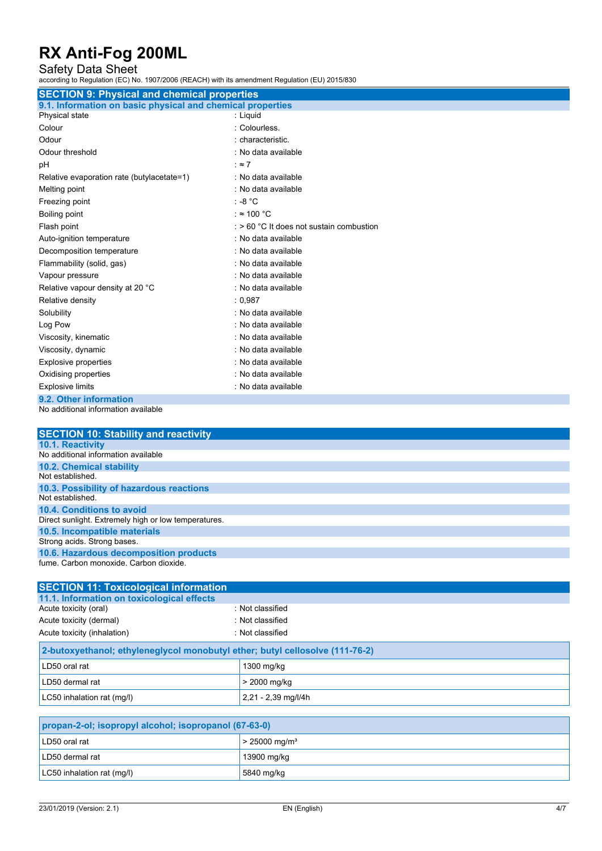Safety Data Sheet according to Regulation (EC) No. 1907/2006 (REACH) with its amendment Regulation (EU) 2015/830

| <b>SECTION 9: Physical and chemical properties</b>         |
|------------------------------------------------------------|
|                                                            |
| 9.1. Information on basic physical and chemical properties |
| : Liquid                                                   |
| : Colourless.                                              |
| : characteristic.                                          |
| : No data available                                        |
| : z7                                                       |
| : No data available                                        |
| : No data available                                        |
| : -8 $^{\circ}$ C                                          |
| : $\approx$ 100 °C                                         |
| : > 60 °C It does not sustain combustion                   |
| : No data available                                        |
| : No data available                                        |
| : No data available                                        |
| : No data available                                        |
| : No data available                                        |
| : 0.987                                                    |
| : No data available                                        |
| : No data available                                        |
| : No data available                                        |
| : No data available                                        |
| : No data available                                        |
| : No data available                                        |
| : No data available                                        |
|                                                            |
|                                                            |

No additional information available

| <b>SECTION 10: Stability and reactivity</b>          |
|------------------------------------------------------|
| 10.1. Reactivity                                     |
| No additional information available                  |
| <b>10.2. Chemical stability</b>                      |
| Not established                                      |
| 10.3. Possibility of hazardous reactions             |
| Not established                                      |
| 10.4. Conditions to avoid                            |
| Direct sunlight. Extremely high or low temperatures. |
| 10.5. Incompatible materials                         |
| Strong acids. Strong bases.                          |
| 10.6. Hazardous decomposition products               |
| fume Carbon monoxide Carbon dioxide                  |
|                                                      |

| <b>SECTION 11: Toxicological information</b>                                 |                     |  |
|------------------------------------------------------------------------------|---------------------|--|
| 11.1. Information on toxicological effects                                   |                     |  |
| Acute toxicity (oral)                                                        | : Not classified    |  |
| Acute toxicity (dermal)                                                      | Not classified      |  |
| Acute toxicity (inhalation)                                                  | Not classified      |  |
| 2-butoxyethanol; ethyleneglycol monobutyl ether; butyl cellosolve (111-76-2) |                     |  |
| LD50 oral rat                                                                | 1300 mg/kg          |  |
| LD50 dermal rat                                                              | > 2000 mg/kg        |  |
| LC50 inhalation rat (mg/l)                                                   | 2,21 - 2,39 mg/l/4h |  |

| propan-2-ol; isopropyl alcohol; isopropanol (67-63-0) |                             |
|-------------------------------------------------------|-----------------------------|
| LD50 oral rat                                         | $> 25000$ mg/m <sup>3</sup> |
| LD50 dermal rat                                       | 13900 mg/kg                 |
| LC50 inhalation rat (mg/l)                            | 5840 mg/kg                  |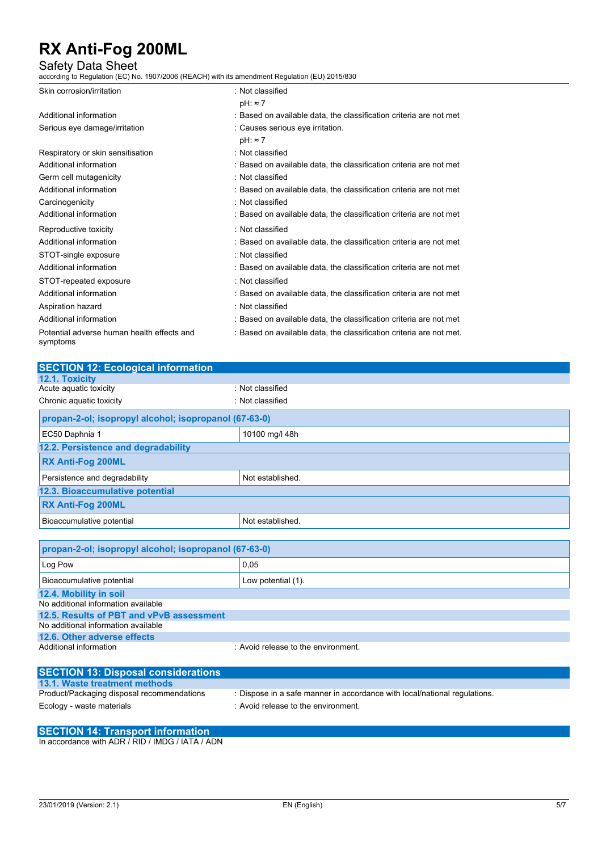Safety Data Sheet according to Regulation (EC) No. 1907/2006 (REACH) with its amendment Regulation (EU) 2015/830

| Skin corrosion/irritation                              | : Not classified                                                    |
|--------------------------------------------------------|---------------------------------------------------------------------|
|                                                        | $pH: \approx 7$                                                     |
| Additional information                                 | : Based on available data, the classification criteria are not met  |
| Serious eye damage/irritation                          | : Causes serious eye irritation.                                    |
|                                                        | $pH: \approx 7$                                                     |
| Respiratory or skin sensitisation                      | : Not classified                                                    |
| Additional information                                 | : Based on available data, the classification criteria are not met  |
| Germ cell mutagenicity                                 | : Not classified                                                    |
| Additional information                                 | : Based on available data, the classification criteria are not met  |
| Carcinogenicity                                        | : Not classified                                                    |
| Additional information                                 | : Based on available data, the classification criteria are not met  |
| Reproductive toxicity                                  | : Not classified                                                    |
| Additional information                                 | : Based on available data, the classification criteria are not met  |
| STOT-single exposure                                   | : Not classified                                                    |
| Additional information                                 | : Based on available data, the classification criteria are not met  |
| STOT-repeated exposure                                 | : Not classified                                                    |
| Additional information                                 | : Based on available data, the classification criteria are not met  |
| Aspiration hazard                                      | : Not classified                                                    |
| Additional information                                 | : Based on available data, the classification criteria are not met  |
| Potential adverse human health effects and<br>symptoms | : Based on available data, the classification criteria are not met. |
|                                                        |                                                                     |

| <b>SECTION 12: Ecological information</b>             |                                     |  |  |
|-------------------------------------------------------|-------------------------------------|--|--|
| 12.1. Toxicity                                        |                                     |  |  |
| Acute aquatic toxicity                                | : Not classified                    |  |  |
| Chronic aquatic toxicity                              | : Not classified                    |  |  |
| propan-2-ol; isopropyl alcohol; isopropanol (67-63-0) |                                     |  |  |
| EC50 Daphnia 1                                        | 10100 mg/l 48h                      |  |  |
| 12.2. Persistence and degradability                   |                                     |  |  |
| <b>RX Anti-Fog 200ML</b>                              |                                     |  |  |
| Persistence and degradability                         | Not established.                    |  |  |
| 12.3. Bioaccumulative potential                       |                                     |  |  |
| RX Anti-Fog 200ML                                     |                                     |  |  |
| Bioaccumulative potential                             | Not established.                    |  |  |
|                                                       |                                     |  |  |
| propan-2-ol; isopropyl alcohol; isopropanol (67-63-0) |                                     |  |  |
| Log Pow                                               | 0.05                                |  |  |
| Bioaccumulative potential                             | Low potential (1).                  |  |  |
| 12.4. Mobility in soil                                |                                     |  |  |
| No additional information available                   |                                     |  |  |
| 12.5. Results of PBT and vPvB assessment              |                                     |  |  |
| No additional information available                   |                                     |  |  |
| 12.6. Other adverse effects                           |                                     |  |  |
| Additional information                                | : Avoid release to the environment. |  |  |
| <b>SECTION 13: Disposal considerations</b>            |                                     |  |  |
| 13.1. Waste treatment methods                         |                                     |  |  |

**13.1.1.1.2.00 are at methods in product**/Packaging disposal recommendations : Dispose in a safe manner in accordance with local/national regulations. Ecology - waste materials **Ecology** - waste materials **in the environment.** 

## **SECTION 14: Transport information**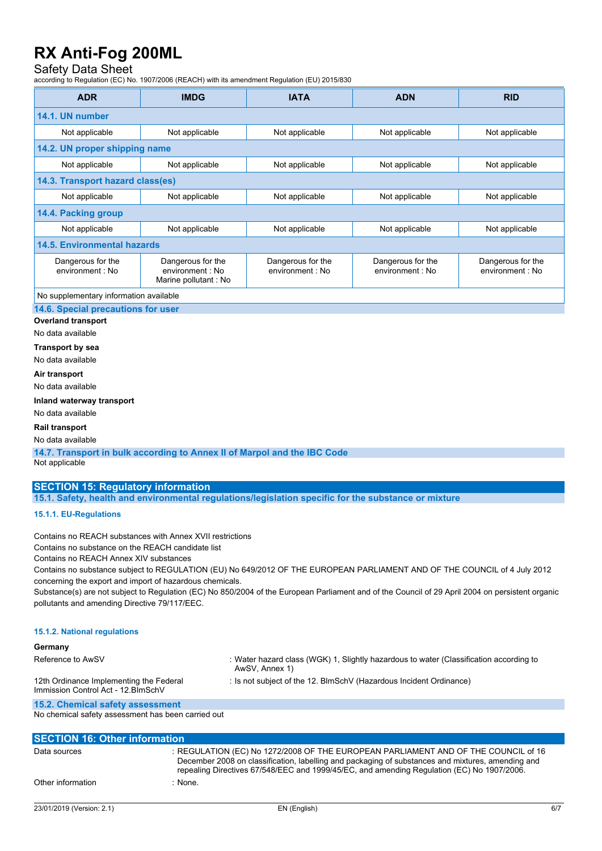### Safety Data Sheet

according to Regulation (EC) No. 1907/2006 (REACH) with its amendment Regulation (EU) 2015/830

| <b>ADR</b>                            | <b>IMDG</b>                                                   | <b>IATA</b>                           | <b>ADN</b>                            | <b>RID</b>                            |  |
|---------------------------------------|---------------------------------------------------------------|---------------------------------------|---------------------------------------|---------------------------------------|--|
| 14.1. UN number                       |                                                               |                                       |                                       |                                       |  |
| Not applicable                        | Not applicable                                                | Not applicable                        | Not applicable                        | Not applicable                        |  |
| 14.2. UN proper shipping name         |                                                               |                                       |                                       |                                       |  |
| Not applicable                        | Not applicable                                                | Not applicable                        | Not applicable                        | Not applicable                        |  |
| 14.3. Transport hazard class(es)      |                                                               |                                       |                                       |                                       |  |
| Not applicable                        | Not applicable                                                | Not applicable                        | Not applicable                        | Not applicable                        |  |
| 14.4. Packing group                   |                                                               |                                       |                                       |                                       |  |
| Not applicable                        | Not applicable                                                | Not applicable                        | Not applicable                        | Not applicable                        |  |
| <b>14.5. Environmental hazards</b>    |                                                               |                                       |                                       |                                       |  |
| Dangerous for the<br>environment : No | Dangerous for the<br>environment : No<br>Marine pollutant: No | Dangerous for the<br>environment : No | Dangerous for the<br>environment : No | Dangerous for the<br>environment : No |  |

No supplementary information available

**14.6. Special precautions for user**

### **Overland transport**

No data available

**Transport by sea**

No data available

**Air transport**

No data available

#### **Inland waterway transport**

No data available

### **Rail transport**

No data available

**14.7. Transport in bulk according to Annex II of Marpol and the IBC Code** Not applicable

### **SECTION 15: Regulatory information**

**15.1. Safety, health and environmental regulations/legislation specific for the substance or mixture**

### **15.1.1. EU-Regulations**

Contains no REACH substances with Annex XVII restrictions

Contains no substance on the REACH candidate list

Contains no REACH Annex XIV substances

Contains no substance subject to REGULATION (EU) No 649/2012 OF THE EUROPEAN PARLIAMENT AND OF THE COUNCIL of 4 July 2012 concerning the export and import of hazardous chemicals.

Substance(s) are not subject to Regulation (EC) No 850/2004 of the European Parliament and of the Council of 29 April 2004 on persistent organic pollutants and amending Directive 79/117/EEC.

### **15.1.2. National regulations**

| Germany                                                                        |                                                                                                          |
|--------------------------------------------------------------------------------|----------------------------------------------------------------------------------------------------------|
| Reference to AwSV                                                              | : Water hazard class (WGK) 1, Slightly hazardous to water (Classification according to<br>AwSV, Annex 1) |
| 12th Ordinance Implementing the Federal<br>Immission Control Act - 12. BlmSchV | : Is not subject of the 12. BlmSchV (Hazardous Incident Ordinance)                                       |
| 15.2. Chemical safety assessment                                               |                                                                                                          |

No chemical safety assessment has been carried out

| <b>SECTION 16: Other information</b> |                                                                                                                                                                                                                                                                                       |  |  |  |
|--------------------------------------|---------------------------------------------------------------------------------------------------------------------------------------------------------------------------------------------------------------------------------------------------------------------------------------|--|--|--|
| Data sources                         | : REGULATION (EC) No 1272/2008 OF THE EUROPEAN PARLIAMENT AND OF THE COUNCIL of 16<br>December 2008 on classification, labelling and packaging of substances and mixtures, amending and<br>repealing Directives 67/548/EEC and 1999/45/EC, and amending Regulation (EC) No 1907/2006. |  |  |  |
| Other information                    | : None                                                                                                                                                                                                                                                                                |  |  |  |